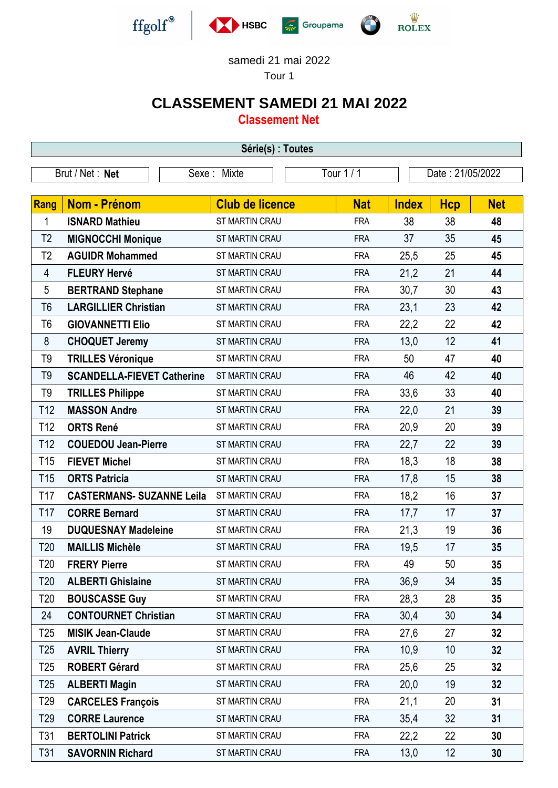

## samedi 21 mai 2022

Tour 1

## **CLASSEMENT SAMEDI 21 MAI 2022**

**Classement Net**

| Série(s) : Toutes |                                   |                        |            |                  |            |            |  |  |  |
|-------------------|-----------------------------------|------------------------|------------|------------------|------------|------------|--|--|--|
| Brut / Net: Net   |                                   | Sexe: Mixte            | Tour 1 / 1 | Date: 21/05/2022 |            |            |  |  |  |
|                   |                                   |                        |            |                  |            |            |  |  |  |
| <b>Rang</b>       | <b>Nom - Prénom</b>               | <b>Club de licence</b> | <b>Nat</b> | <b>Index</b>     | <b>Hcp</b> | <b>Net</b> |  |  |  |
| 1                 | <b>ISNARD Mathieu</b>             | ST MARTIN CRAU         | <b>FRA</b> | 38               | 38         | 48         |  |  |  |
| T <sub>2</sub>    | <b>MIGNOCCHI Monique</b>          | ST MARTIN CRAU         | <b>FRA</b> | 37               | 35         | 45         |  |  |  |
| T2                | <b>AGUIDR Mohammed</b>            | ST MARTIN CRAU         | <b>FRA</b> | 25,5             | 25         | 45         |  |  |  |
| 4                 | <b>FLEURY Hervé</b>               | ST MARTIN CRAU         | <b>FRA</b> | 21,2             | 21         | 44         |  |  |  |
| 5                 | <b>BERTRAND Stephane</b>          | ST MARTIN CRAU         | <b>FRA</b> | 30,7             | 30         | 43         |  |  |  |
| T <sub>6</sub>    | <b>LARGILLIER Christian</b>       | ST MARTIN CRAU         | <b>FRA</b> | 23,1             | 23         | 42         |  |  |  |
| T <sub>6</sub>    | <b>GIOVANNETTI Elio</b>           | ST MARTIN CRAU         | <b>FRA</b> | 22,2             | 22         | 42         |  |  |  |
| 8                 | <b>CHOQUET Jeremy</b>             | ST MARTIN CRAU         | <b>FRA</b> | 13,0             | 12         | 41         |  |  |  |
| T9                | <b>TRILLES Véronique</b>          | ST MARTIN CRAU         | <b>FRA</b> | 50               | 47         | 40         |  |  |  |
| T <sub>9</sub>    | <b>SCANDELLA-FIEVET Catherine</b> | ST MARTIN CRAU         | <b>FRA</b> | 46               | 42         | 40         |  |  |  |
| T9                | <b>TRILLES Philippe</b>           | ST MARTIN CRAU         | <b>FRA</b> | 33,6             | 33         | 40         |  |  |  |
| T <sub>12</sub>   | <b>MASSON Andre</b>               | ST MARTIN CRAU         | <b>FRA</b> | 22,0             | 21         | 39         |  |  |  |
| T <sub>12</sub>   | <b>ORTS René</b>                  | ST MARTIN CRAU         | <b>FRA</b> | 20,9             | 20         | 39         |  |  |  |
| T <sub>12</sub>   | <b>COUEDOU Jean-Pierre</b>        | ST MARTIN CRAU         | <b>FRA</b> | 22,7             | 22         | 39         |  |  |  |
| T <sub>15</sub>   | <b>FIEVET Michel</b>              | ST MARTIN CRAU         | <b>FRA</b> | 18,3             | 18         | 38         |  |  |  |
| T <sub>15</sub>   | <b>ORTS Patricia</b>              | <b>ST MARTIN CRAU</b>  | <b>FRA</b> | 17,8             | 15         | 38         |  |  |  |
| T <sub>17</sub>   | <b>CASTERMANS- SUZANNE Leila</b>  | ST MARTIN CRAU         | <b>FRA</b> | 18,2             | 16         | 37         |  |  |  |
| T <sub>17</sub>   | <b>CORRE Bernard</b>              | ST MARTIN CRAU         | <b>FRA</b> | 17,7             | 17         | 37         |  |  |  |
| 19                | <b>DUQUESNAY Madeleine</b>        | ST MARTIN CRAU         | <b>FRA</b> | 21,3             | 19         | 36         |  |  |  |
| T <sub>20</sub>   | <b>MAILLIS Michèle</b>            | ST MARTIN CRAU         | <b>FRA</b> | 19,5             | 17         | 35         |  |  |  |
| T <sub>20</sub>   | <b>FRERY Pierre</b>               | ST MARTIN CRAU         | <b>FRA</b> | 49               | 50         | 35         |  |  |  |
| T <sub>20</sub>   | <b>ALBERTI Ghislaine</b>          | ST MARTIN CRAU         | <b>FRA</b> | 36,9             | 34         | 35         |  |  |  |
| T <sub>20</sub>   | <b>BOUSCASSE Guy</b>              | ST MARTIN CRAU         | <b>FRA</b> | 28,3             | 28         | 35         |  |  |  |
| 24                | <b>CONTOURNET Christian</b>       | <b>ST MARTIN CRAU</b>  | <b>FRA</b> | 30,4             | 30         | 34         |  |  |  |
| T25               | <b>MISIK Jean-Claude</b>          | ST MARTIN CRAU         | <b>FRA</b> | 27,6             | 27         | 32         |  |  |  |
| T <sub>25</sub>   | <b>AVRIL Thierry</b>              | ST MARTIN CRAU         | <b>FRA</b> | 10,9             | 10         | 32         |  |  |  |
| T <sub>25</sub>   | <b>ROBERT Gérard</b>              | ST MARTIN CRAU         | <b>FRA</b> | 25,6             | 25         | 32         |  |  |  |
| T <sub>25</sub>   | <b>ALBERTI Magin</b>              | ST MARTIN CRAU         | <b>FRA</b> | 20,0             | 19         | 32         |  |  |  |
| T29               | <b>CARCELES François</b>          | ST MARTIN CRAU         | <b>FRA</b> | 21,1             | 20         | 31         |  |  |  |
| T29               | <b>CORRE Laurence</b>             | ST MARTIN CRAU         | <b>FRA</b> | 35,4             | 32         | 31         |  |  |  |
| T31               | <b>BERTOLINI Patrick</b>          | ST MARTIN CRAU         | <b>FRA</b> | 22,2             | 22         | 30         |  |  |  |
| T31               | <b>SAVORNIN Richard</b>           | ST MARTIN CRAU         | <b>FRA</b> | 13,0             | 12         | 30         |  |  |  |